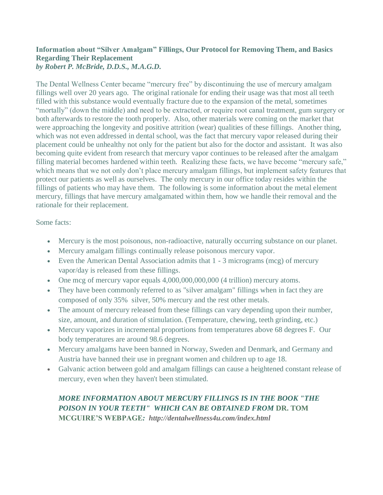## **Information about "Silver Amalgam" Fillings, Our Protocol for Removing Them, and Basics Regarding Their Replacement** *by Robert P. McBride, D.D.S., M.A.G.D.*

The Dental Wellness Center became "mercury free" by discontinuing the use of mercury amalgam fillings well over 20 years ago. The original rationale for ending their usage was that most all teeth filled with this substance would eventually fracture due to the expansion of the metal, sometimes "mortally" (down the middle) and need to be extracted, or require root canal treatment, gum surgery or both afterwards to restore the tooth properly. Also, other materials were coming on the market that were approaching the longevity and positive attrition (wear) qualities of these fillings. Another thing, which was not even addressed in dental school, was the fact that mercury vapor released during their placement could be unhealthy not only for the patient but also for the doctor and assistant. It was also becoming quite evident from research that mercury vapor continues to be released after the amalgam filling material becomes hardened within teeth. Realizing these facts, we have become "mercury safe," which means that we not only don't place mercury amalgam fillings, but implement safety features that protect our patients as well as ourselves. The only mercury in our office today resides within the fillings of patients who may have them. The following is some information about the metal element mercury, fillings that have mercury amalgamated within them, how we handle their removal and the rationale for their replacement.

Some facts:

- Mercury is the most poisonous, non-radioactive, naturally occurring substance on our planet.
- Mercury amalgam fillings continually release poisonous mercury vapor.
- Even the American Dental Association admits that 1 3 micrograms (mcg) of mercury vapor/day is released from these fillings.
- One mcg of mercury vapor equals 4,000,000,000,000 (4 trillion) mercury atoms.
- They have been commonly referred to as "silver amalgam" fillings when in fact they are composed of only 35% silver, 50% mercury and the rest other metals.
- The amount of mercury released from these fillings can vary depending upon their number, size, amount, and duration of stimulation. (Temperature, chewing, teeth grinding, etc.)
- Mercury vaporizes in incremental proportions from temperatures above 68 degrees F. Our body temperatures are around 98.6 degrees.
- Mercury amalgams have been banned in Norway, Sweden and Denmark, and Germany and Austria have banned their use in pregnant women and children up to age 18.
- Galvanic action between gold and amalgam fillings can cause a heightened constant release of mercury, even when they haven't been stimulated.

# *MORE INFORMATION ABOUT MERCURY FILLINGS IS IN THE BOOK "THE POISON IN YOUR TEETH" WHICH CAN BE OBTAINED FROM* **[DR. TOM](file:///C:/Users/Doc/Documents/Articles/%20Dr.%20Tom%20McGuire) [MCGUIRE'S WEBPAGE](file:///C:/Users/Doc/Documents/Articles/%20Dr.%20Tom%20McGuire)***: http://dentalwellness4u.com/index.html*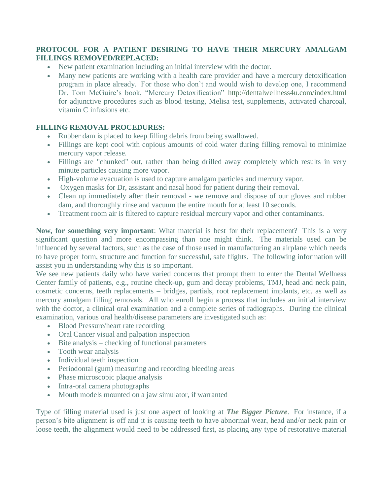### **PROTOCOL FOR A PATIENT DESIRING TO HAVE THEIR MERCURY AMALGAM FILLINGS REMOVED/REPLACED:**

- New patient examination including an initial interview with the doctor.
- Many new patients are working with a health care provider and have a mercury detoxification program in place already. For those who don't and would wish to develop one, I recommend Dr. Tom McGuire's book, "Mercury Detoxification" <http://dentalwellness4u.com/index.html> for adjunctive procedures such as blood testing, Melisa test, supplements, activated charcoal, vitamin C infusions etc.

#### **FILLING REMOVAL PROCEDURES:**

- Rubber dam is placed to keep filling debris from being swallowed.
- Fillings are kept cool with copious amounts of cold water during filling removal to minimize mercury vapor release.
- Fillings are "chunked" out, rather than being drilled away completely which results in very minute particles causing more vapor.
- High-volume evacuation is used to capture amalgam particles and mercury vapor.
- Oxygen masks for Dr, assistant and nasal hood for patient during their removal.
- Clean up immediately after their removal we remove and dispose of our gloves and rubber dam, and thoroughly rinse and vacuum the entire mouth for at least 10 seconds.
- Treatment room air is filtered to capture residual mercury vapor and other contaminants.

**Now, for something very important**: What material is best for their replacement? This is a very significant question and more encompassing than one might think. The materials used can be influenced by several factors, such as the case of those used in manufacturing an airplane which needs to have proper form, structure and function for successful, safe flights. The following information will assist you in understanding why this is so important.

We see new patients daily who have varied concerns that prompt them to enter the Dental Wellness Center family of patients, e.g., routine check-up, gum and decay problems, TMJ, head and neck pain, cosmetic concerns, teeth replacements – bridges, partials, root replacement implants, etc. as well as mercury amalgam filling removals. All who enroll begin a process that includes an initial interview with the doctor, a clinical oral examination and a complete series of radiographs. During the clinical examination, various oral health/disease parameters are investigated such as:

- Blood Pressure/heart rate recording
- Oral Cancer visual and palpation inspection
- Bite analysis checking of functional parameters
- Tooth wear analysis
- Individual teeth inspection
- Periodontal (gum) measuring and recording bleeding areas
- Phase microscopic plaque analysis
- Intra-oral camera photographs
- Mouth models mounted on a jaw simulator, if warranted

Type of filling material used is just one aspect of looking at *[The Bigger Picture](http://www.rpmdentistry.com/The_Bigger_Picture.htm)*. For instance, if a person's bite alignment is off and it is causing teeth to have abnormal wear, head and/or neck pain or loose teeth, the alignment would need to be addressed first, as placing any type of restorative material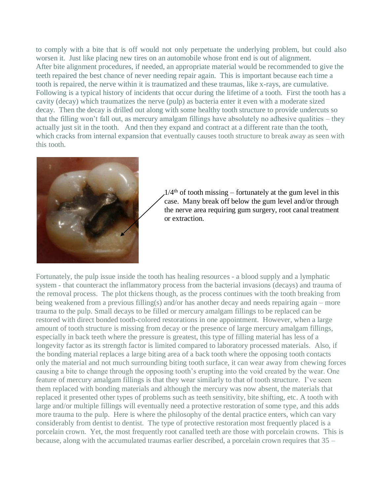to comply with a bite that is off would not only perpetuate the underlying problem, but could also worsen it. Just like placing new tires on an automobile whose front end is out of alignment. After bite alignment procedures, if needed, an appropriate material would be recommended to give the teeth repaired the best chance of never needing repair again. This is important because each time a tooth is repaired, the nerve within it is traumatized and these traumas, like x-rays, are cumulative. Following is a typical history of incidents that occur during the lifetime of a tooth. First the tooth has a cavity (decay) which traumatizes the nerve (pulp) as bacteria enter it even with a moderate sized decay. Then the decay is drilled out along with some healthy tooth structure to provide undercuts so that the filling won't fall out, as mercury amalgam fillings have absolutely no adhesive qualities – they actually just sit in the tooth. And then they expand and contract at a different rate than the tooth, which cracks from internal expansion that eventually causes tooth structure to break away as seen with this tooth.



 $1/4<sup>th</sup>$  of tooth missing – fortunately at the gum level in this case. Many break off below the gum level and/or through the nerve area requiring gum surgery, root canal treatment or extraction.

Fortunately, the pulp issue inside the tooth has healing resources - a blood supply and a lymphatic system - that counteract the inflammatory process from the bacterial invasions (decays) and trauma of the removal process. The plot thickens though, as the process continues with the tooth breaking from being weakened from a previous filling(s) and/or has another decay and needs repairing again – more trauma to the pulp. Small decays to be filled or mercury amalgam fillings to be replaced can be restored with direct bonded tooth-colored restorations in one appointment. However, when a large amount of tooth structure is missing from decay or the presence of large mercury amalgam fillings, especially in back teeth where the pressure is greatest, this type of filling material has less of a longevity factor as its strength factor is limited compared to laboratory processed materials. Also, if the bonding material replaces a large biting area of a back tooth where the opposing tooth contacts only the material and not much surrounding biting tooth surface, it can wear away from chewing forces causing a bite to change through the opposing tooth's erupting into the void created by the wear. One feature of mercury amalgam fillings is that they wear similarly to that of tooth structure. I've seen them replaced with bonding materials and although the mercury was now absent, the materials that replaced it presented other types of problems such as teeth sensitivity, bite shifting, etc. A tooth with large and/or multiple fillings will eventually need a protective restoration of some type, and this adds more trauma to the pulp. Here is where the philosophy of the dental practice enters, which can vary considerably from dentist to dentist. The type of protective restoration most frequently placed is a porcelain crown. Yet, the most frequently root canalled teeth are those with porcelain crowns. This is because, along with the accumulated traumas earlier described, a porcelain crown requires that 35 –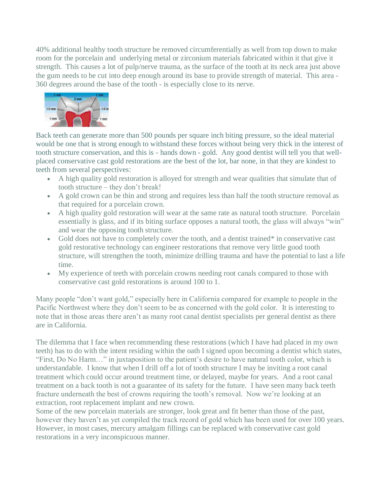40% additional healthy tooth structure be removed circumferentially as well from top down to make room for the porcelain and underlying metal or zirconium materials fabricated within it that give it strength. This causes a lot of pulp/nerve trauma, as the surface of the tooth at its neck area just above the gum needs to be cut into deep enough around its base to provide strength of material. This area - 360 degrees around the base of the tooth - is especially close to its nerve.



Back teeth can generate more than 500 pounds per square inch biting pressure, so the ideal material would be one that is strong enough to withstand these forces without being very thick in the interest of tooth structure conservation, and this is - hands down - gold. Any good dentist will tell you that wellplaced conservative cast gold restorations are the best of the lot, bar none, in that they are kindest to teeth from several perspectives:

- A high quality gold restoration is alloyed for strength and wear qualities that simulate that of tooth structure – they don't break!
- A gold crown can be thin and strong and requires less than half the tooth structure removal as that required for a porcelain crown.
- A high quality gold restoration will wear at the same rate as natural tooth structure. Porcelain essentially is glass, and if its biting surface opposes a natural tooth, the glass will always "win" and wear the opposing tooth structure.
- Gold does not have to completely cover the tooth, and a dentist trained<sup>\*</sup> in conservative cast gold restorative technology can engineer restorations that remove very little good tooth structure, will strengthen the tooth, minimize drilling trauma and have the potential to last a life time.
- My experience of teeth with porcelain crowns needing root canals compared to those with conservative cast gold restorations is around 100 to 1.

Many people "don't want gold," especially here in California compared for example to people in the Pacific Northwest where they don't seem to be as concerned with the gold color. It is interesting to note that in those areas there aren't as many root canal dentist specialists per general dentist as there are in California.

The dilemma that I face when recommending these restorations (which I have had placed in my own teeth) has to do with the intent residing within the oath I signed upon becoming a dentist which states, "First, Do No Harm…" in juxtaposition to the patient's desire to have natural tooth color, which is understandable. I know that when I drill off a lot of tooth structure I may be inviting a root canal treatment which could occur around treatment time, or delayed, maybe for years. And a root canal treatment on a back tooth is not a guarantee of its safety for the future. I have seen many back teeth fracture underneath the best of crowns requiring the tooth's removal. Now we're looking at an extraction, root replacement implant and new crown.

Some of the new porcelain materials are stronger, look great and fit better than those of the past, however they haven't as yet compiled the track record of gold which has been used for over 100 years. However, in most cases, mercury amalgam fillings can be replaced with conservative cast gold restorations in a very inconspicuous manner.